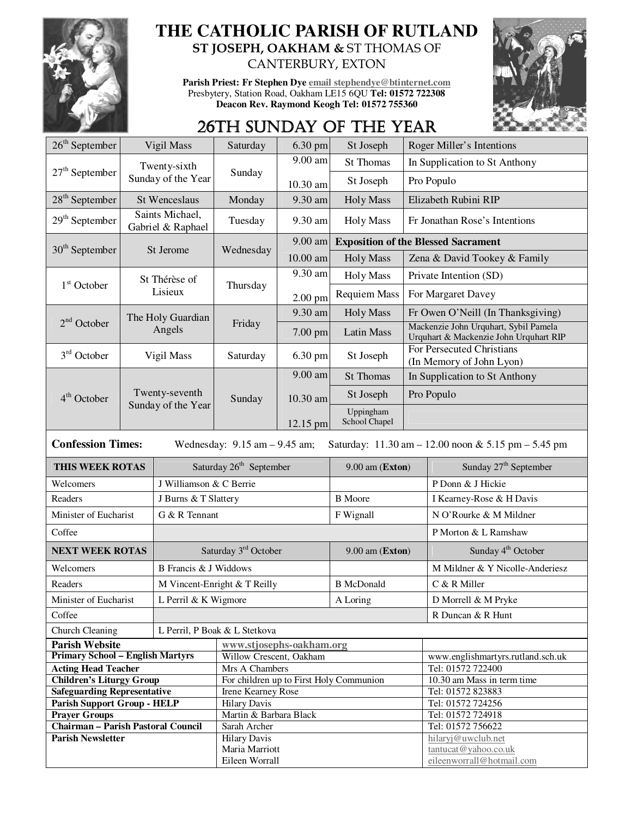

## **THE CATHOLIC PARISH OF RUTLAND ST JOSEPH, OAKHAM &** ST THOMAS OF CANTERBURY, EXTON

**Parish Priest: Fr Stephen Dye email stephendye@btinternet.com** Presbytery, Station Road, Oakham LE15 6QU **Tel: 01572 722308 Deacon Rev. Raymond Keogh Tel: 01572 755360** 



## 26TH SUNDAY OF THE YEAR

| $26th$ September                                                                                                     | Vigil Mass                                |                         | Saturday                                            | $6.30$ pm  | St Joseph                  | Roger Miller's Intentions                                                       |                                            |  |
|----------------------------------------------------------------------------------------------------------------------|-------------------------------------------|-------------------------|-----------------------------------------------------|------------|----------------------------|---------------------------------------------------------------------------------|--------------------------------------------|--|
|                                                                                                                      | Twenty-sixth                              |                         | Sunday                                              | 9.00 am    | St Thomas                  |                                                                                 | In Supplication to St Anthony              |  |
| $27th$ September                                                                                                     |                                           | Sunday of the Year      |                                                     | $10.30$ am | St Joseph                  |                                                                                 | Pro Populo                                 |  |
| $28th$ September                                                                                                     | <b>St Wenceslaus</b>                      |                         | Monday                                              | 9.30 am    | <b>Holy Mass</b>           |                                                                                 | Elizabeth Rubini RIP                       |  |
| $29th$ September                                                                                                     | Saints Michael,<br>Gabriel & Raphael      |                         | Tuesday                                             | 9.30 am    | <b>Holy Mass</b>           | Fr Jonathan Rose's Intentions                                                   |                                            |  |
|                                                                                                                      |                                           |                         |                                                     | 9.00 am    |                            | <b>Exposition of the Blessed Sacrament</b>                                      |                                            |  |
| $30th$ September<br>St Jerome                                                                                        |                                           |                         | Wednesday                                           | 10.00 am   | <b>Holy Mass</b>           |                                                                                 | Zena & David Tookey & Family               |  |
|                                                                                                                      | St Thérèse of<br>$1st$ October<br>Lisieux |                         |                                                     | 9.30 am    | <b>Holy Mass</b>           | Private Intention (SD)                                                          |                                            |  |
|                                                                                                                      |                                           |                         | Thursday                                            | $2.00$ pm  | <b>Requiem Mass</b>        | For Margaret Davey                                                              |                                            |  |
| $2nd$ October                                                                                                        |                                           | The Holy Guardian       | Friday                                              | 9.30 am    | <b>Holy Mass</b>           |                                                                                 | Fr Owen O'Neill (In Thanksgiving)          |  |
|                                                                                                                      |                                           | Angels                  |                                                     | 7.00 pm    | Latin Mass                 | Mackenzie John Urquhart, Sybil Pamela<br>Urquhart & Mackenzie John Urquhart RIP |                                            |  |
| $3rd$ October                                                                                                        | Vigil Mass                                |                         | Saturday                                            | 6.30 pm    | St Joseph                  | For Persecuted Christians<br>(In Memory of John Lyon)                           |                                            |  |
|                                                                                                                      |                                           |                         |                                                     | 9.00 am    | <b>St Thomas</b>           |                                                                                 | In Supplication to St Anthony              |  |
| 4 <sup>th</sup> October                                                                                              |                                           | Twenty-seventh          | Sunday                                              | 10.30 am   | St Joseph                  |                                                                                 | Pro Populo                                 |  |
|                                                                                                                      | Sunday of the Year                        |                         |                                                     | 12.15 pm   | Uppingham<br>School Chapel |                                                                                 |                                            |  |
| <b>Confession Times:</b><br>Wednesday: $9.15$ am $- 9.45$ am;<br>Saturday: 11.30 am - 12.00 noon & 5.15 pm - 5.45 pm |                                           |                         |                                                     |            |                            |                                                                                 |                                            |  |
|                                                                                                                      |                                           |                         |                                                     |            |                            |                                                                                 |                                            |  |
| THIS WEEK ROTAS                                                                                                      |                                           |                         | Saturday 26 <sup>th</sup> September                 |            | 9.00 am (Exton)            |                                                                                 | Sunday 27 <sup>th</sup> September          |  |
| Welcomers                                                                                                            |                                           | J Williamson & C Berrie |                                                     |            |                            |                                                                                 | P Donn & J Hickie                          |  |
| Readers                                                                                                              |                                           | J Burns & T Slattery    |                                                     |            | <b>B</b> Moore             |                                                                                 | I Kearney-Rose & H Davis                   |  |
| Minister of Eucharist                                                                                                |                                           | G & R Tennant           |                                                     |            | F Wignall                  |                                                                                 | N O'Rourke & M Mildner                     |  |
| Coffee                                                                                                               |                                           |                         |                                                     |            |                            |                                                                                 | P Morton & L Ramshaw                       |  |
| <b>NEXT WEEK ROTAS</b>                                                                                               |                                           |                         | Saturday 3rd October                                |            | 9.00 am (Exton)            |                                                                                 | Sunday 4 <sup>th</sup> October             |  |
| Welcomers                                                                                                            |                                           | B Francis & J Widdows   |                                                     |            |                            |                                                                                 | M Mildner & Y Nicolle-Anderiesz            |  |
| Readers                                                                                                              |                                           |                         | M Vincent-Enright & T Reilly                        |            | <b>B</b> McDonald          |                                                                                 | C & R Miller                               |  |
| Minister of Eucharist                                                                                                |                                           |                         |                                                     |            |                            |                                                                                 | D Morrell & M Pryke                        |  |
| Coffee                                                                                                               |                                           | L Perril & K Wigmore    |                                                     |            | $\mathbf A$ Loring         |                                                                                 | R Duncan & R Hunt                          |  |
|                                                                                                                      |                                           |                         | L Perril, P Boak & L Stetkova                       |            |                            |                                                                                 |                                            |  |
| Church Cleaning                                                                                                      |                                           |                         |                                                     |            |                            |                                                                                 |                                            |  |
| <b>Parish Website</b><br><b>Primary School - English Martyrs</b>                                                     |                                           |                         | www.stjosephs-oakham.org<br>Willow Crescent, Oakham |            |                            |                                                                                 | www.englishmartyrs.rutland.sch.uk          |  |
| <b>Acting Head Teacher</b>                                                                                           |                                           |                         | Mrs A Chambers                                      |            |                            |                                                                                 | Tel: 01572 722400                          |  |
| <b>Children's Liturgy Group</b>                                                                                      |                                           |                         | For children up to First Holy Communion             |            |                            |                                                                                 | 10.30 am Mass in term time                 |  |
| <b>Safeguarding Representative</b>                                                                                   |                                           |                         | Irene Kearney Rose                                  |            |                            |                                                                                 | Tel: 01572 823883                          |  |
| <b>Parish Support Group - HELP</b>                                                                                   |                                           |                         | <b>Hilary Davis</b>                                 |            |                            |                                                                                 | Tel: 01572 724256                          |  |
| <b>Prayer Groups</b>                                                                                                 |                                           |                         | Martin & Barbara Black                              |            |                            |                                                                                 | Tel: 01572 724918                          |  |
| <b>Chairman - Parish Pastoral Council</b>                                                                            |                                           |                         | Sarah Archer                                        |            |                            |                                                                                 | Tel: 01572 756622                          |  |
| <b>Parish Newsletter</b>                                                                                             |                                           |                         | <b>Hilary Davis</b><br>Maria Marriott               |            |                            |                                                                                 | hilaryj@uwclub.net<br>tantucat@yahoo.co.uk |  |